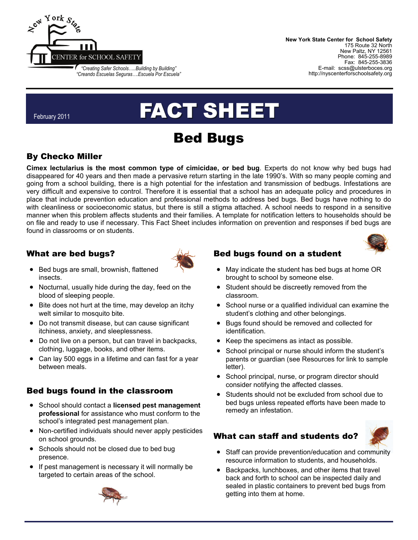

**New York State Center for School Safety**  175 Route 32 North New Paltz, NY 12561 Phone: 845-255-8989 Fax: 845-255-3836 E-mail: scss@ulsterboces.org http://nyscenterforschoolsafety.org

#### February 2011

# FACT SHEET

## Bed Bugs

#### By Checko Miller

**Cimex lectularius is the most common type of cimicidae, or bed bug**. Experts do not know why bed bugs had disappeared for 40 years and then made a pervasive return starting in the late 1990's. With so many people coming and going from a school building, there is a high potential for the infestation and transmission of bedbugs. Infestations are very difficult and expensive to control. Therefore it is essential that a school has an adequate policy and procedures in place that include prevention education and professional methods to address bed bugs. Bed bugs have nothing to do with cleanliness or socioeconomic status, but there is still a stigma attached. A school needs to respond in a sensitive manner when this problem affects students and their families. A template for notification letters to households should be on file and ready to use if necessary. This Fact Sheet includes information on prevention and responses if bed bugs are found in classrooms or on students.

#### What are bed bugs?

- Bed bugs are small, brownish, flattened insects.
- Nocturnal, usually hide during the day, feed on the blood of sleeping people.
- Bite does not hurt at the time, may develop an itchy welt similar to mosquito bite.
- Do not transmit disease, but can cause significant itchiness, anxiety, and sleeplessness.
- Do not live on a person, but can travel in backpacks, clothing, luggage, books, and other items.
- Can lay 500 eggs in a lifetime and can fast for a year between meals.

#### Bed bugs found in the classroom

- School should contact a **licensed pest management professional** for assistance who must conform to the school's integrated pest management plan.
- Non-certified individuals should never apply pesticides on school grounds.
- Schools should not be closed due to bed bug presence.
- If pest management is necessary it will normally be targeted to certain areas of the school.



#### Bed bugs found on a student



- May indicate the student has bed bugs at home OR brought to school by someone else.
- Student should be discreetly removed from the classroom.
- School nurse or a qualified individual can examine the student's clothing and other belongings.
- Bugs found should be removed and collected for identification.
- Keep the specimens as intact as possible.
- School principal or nurse should inform the student's parents or guardian (see Resources for link to sample letter).
- School principal, nurse, or program director should consider notifying the affected classes.
- Students should not be excluded from school due to bed bugs unless repeated efforts have been made to remedy an infestation.

#### What can staff and students do?



- Staff can provide prevention/education and community resource information to students, and households.
- Backpacks, lunchboxes, and other items that travel back and forth to school can be inspected daily and sealed in plastic containers to prevent bed bugs from getting into them at home.